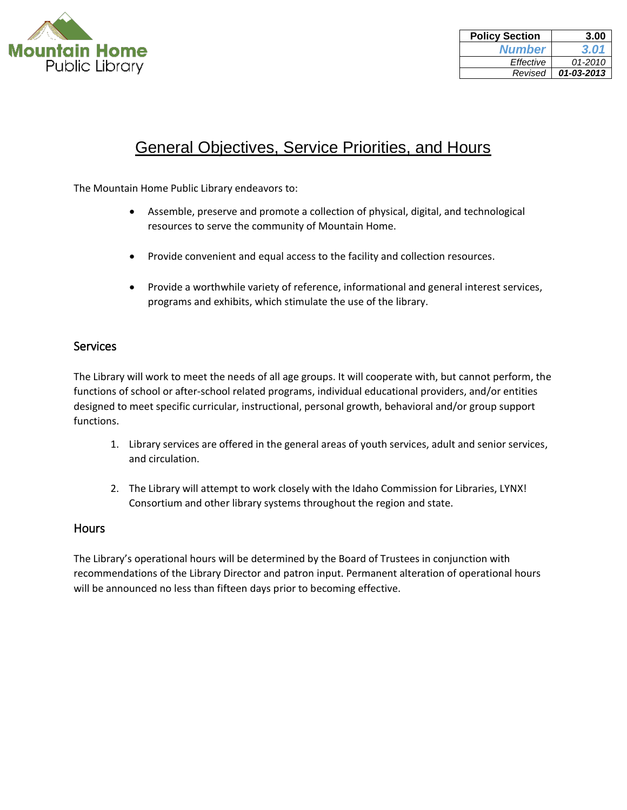

| <b>Policy Section</b> | 3.00       |
|-----------------------|------------|
| <b>Number</b>         | 3.01       |
| Effective             | 01-2010    |
| Revised               | 01-03-2013 |

### General Objectives, Service Priorities, and Hours

The Mountain Home Public Library endeavors to:

- Assemble, preserve and promote a collection of physical, digital, and technological resources to serve the community of Mountain Home.
- Provide convenient and equal access to the facility and collection resources.
- Provide a worthwhile variety of reference, informational and general interest services, programs and exhibits, which stimulate the use of the library.

### Services

The Library will work to meet the needs of all age groups. It will cooperate with, but cannot perform, the functions of school or after-school related programs, individual educational providers, and/or entities designed to meet specific curricular, instructional, personal growth, behavioral and/or group support functions.

- 1. Library services are offered in the general areas of youth services, adult and senior services, and circulation.
- 2. The Library will attempt to work closely with the Idaho Commission for Libraries, LYNX! Consortium and other library systems throughout the region and state.

#### **Hours**

The Library's operational hours will be determined by the Board of Trustees in conjunction with recommendations of the Library Director and patron input. Permanent alteration of operational hours will be announced no less than fifteen days prior to becoming effective.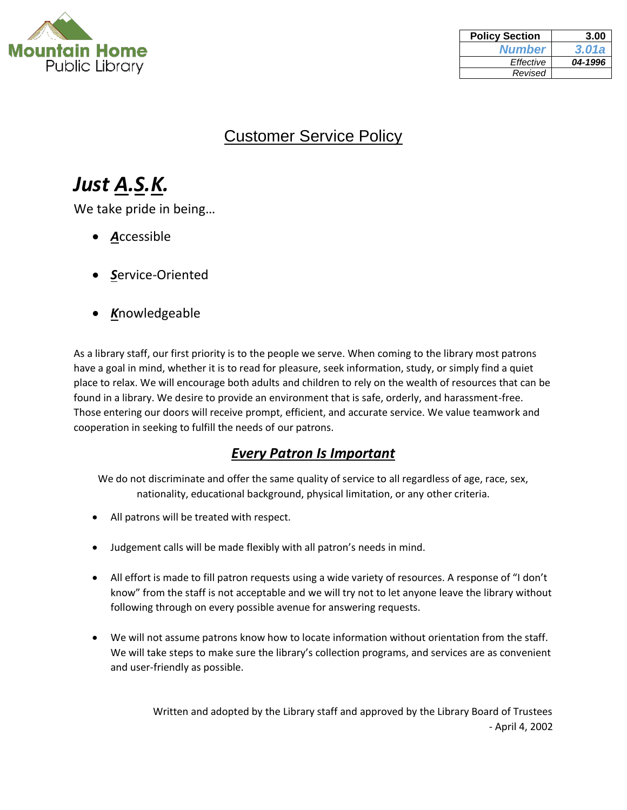

| <b>Policy Section</b> | 3.00    |
|-----------------------|---------|
| <b>Number</b>         | 3.01a   |
| Effective             | 04-1996 |
| Revised               |         |

### Customer Service Policy

# *Just A.S.K.*

We take pride in being…

- *A*ccessible
- *S*ervice-Oriented
- *K*nowledgeable

As a library staff, our first priority is to the people we serve. When coming to the library most patrons have a goal in mind, whether it is to read for pleasure, seek information, study, or simply find a quiet place to relax. We will encourage both adults and children to rely on the wealth of resources that can be found in a library. We desire to provide an environment that is safe, orderly, and harassment-free. Those entering our doors will receive prompt, efficient, and accurate service. We value teamwork and cooperation in seeking to fulfill the needs of our patrons.

### *Every Patron Is Important*

We do not discriminate and offer the same quality of service to all regardless of age, race, sex, nationality, educational background, physical limitation, or any other criteria.

- All patrons will be treated with respect.
- Judgement calls will be made flexibly with all patron's needs in mind.
- All effort is made to fill patron requests using a wide variety of resources. A response of "I don't know" from the staff is not acceptable and we will try not to let anyone leave the library without following through on every possible avenue for answering requests.
- We will not assume patrons know how to locate information without orientation from the staff. We will take steps to make sure the library's collection programs, and services are as convenient and user-friendly as possible.

Written and adopted by the Library staff and approved by the Library Board of Trustees - April 4, 2002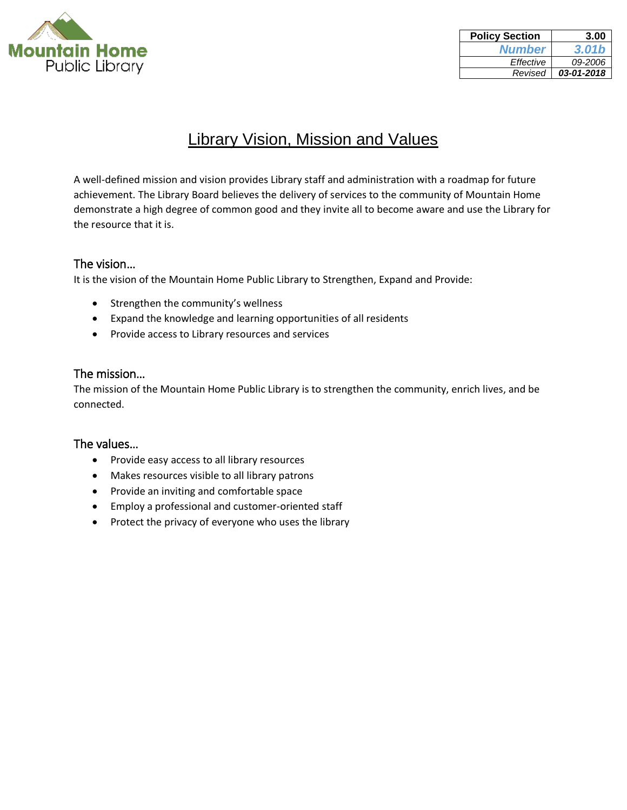

| <b>Policy Section</b> | 3.00       |
|-----------------------|------------|
| <b>Number</b>         | 3.01b      |
| Effective             | 09-2006    |
| Revised               | 03-01-2018 |

### Library Vision, Mission and Values

A well-defined mission and vision provides Library staff and administration with a roadmap for future achievement. The Library Board believes the delivery of services to the community of Mountain Home demonstrate a high degree of common good and they invite all to become aware and use the Library for the resource that it is.

### The vision…

It is the vision of the Mountain Home Public Library to Strengthen, Expand and Provide:

- Strengthen the community's wellness
- Expand the knowledge and learning opportunities of all residents
- Provide access to Library resources and services

#### The mission…

The mission of the Mountain Home Public Library is to strengthen the community, enrich lives, and be connected.

#### The values…

- Provide easy access to all library resources
- Makes resources visible to all library patrons
- Provide an inviting and comfortable space
- Employ a professional and customer-oriented staff
- Protect the privacy of everyone who uses the library